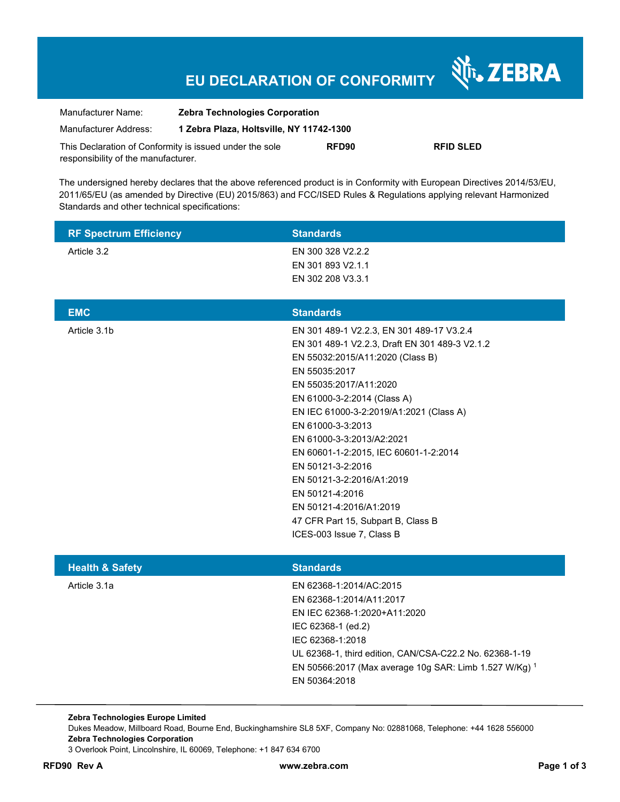# **EU DECLARATION OF CONFORMITY**

| Manufacturer Name:                                      | <b>Zebra Technologies Corporation</b>    |       |                  |
|---------------------------------------------------------|------------------------------------------|-------|------------------|
| Manufacturer Address:                                   | 1 Zebra Plaza, Holtsville, NY 11742-1300 |       |                  |
| This Declaration of Conformity is issued under the sole |                                          | RFD90 | <b>RFID SLED</b> |
| responsibility of the manufacturer.                     |                                          |       |                  |

The undersigned hereby declares that the above referenced product is in Conformity with European Directives 2014/53/EU, 2011/65/EU (as amended by Directive (EU) 2015/863) and FCC/ISED Rules & Regulations applying relevant Harmonized Standards and other technical specifications:

| <b>RF Spectrum Efficiency</b> | <b>Standards</b>  |
|-------------------------------|-------------------|
| Article 3.2                   | EN 300 328 V2.2.2 |
|                               | EN 301 893 V2.1.1 |
|                               | EN 302 208 V3.3.1 |

| <b>EMC</b>   | <b>Standards</b>                               |
|--------------|------------------------------------------------|
| Article 3.1b | EN 301 489-1 V2.2.3, EN 301 489-17 V3.2.4      |
|              | EN 301 489-1 V2.2.3, Draft EN 301 489-3 V2.1.2 |
|              | EN 55032:2015/A11:2020 (Class B)               |
|              | EN 55035:2017                                  |
|              | EN 55035:2017/A11:2020                         |
|              | EN 61000-3-2:2014 (Class A)                    |
|              | EN IEC 61000-3-2:2019/A1:2021 (Class A)        |
|              | EN 61000-3-3:2013                              |
|              | EN 61000-3-3:2013/A2:2021                      |
|              | EN 60601-1-2:2015, IEC 60601-1-2:2014          |
|              | EN 50121-3-2:2016                              |
|              | EN 50121-3-2:2016/A1:2019                      |
|              | EN 50121-4:2016                                |
|              | EN 50121-4:2016/A1:2019                        |
|              | 47 CFR Part 15, Subpart B, Class B             |
|              | ICES-003 Issue 7, Class B                      |
|              |                                                |

| <b>Health &amp; Safety</b> | <b>Standards</b>                                        |
|----------------------------|---------------------------------------------------------|
| Article 3.1a               | EN 62368-1:2014/AC:2015                                 |
|                            | EN 62368-1:2014/A11:2017                                |
|                            | EN IEC 62368-1:2020+A11:2020                            |
|                            | IEC 62368-1 (ed.2)                                      |
|                            | IEC 62368-1:2018                                        |
|                            | UL 62368-1, third edition, CAN/CSA-C22.2 No. 62368-1-19 |
|                            | EN 50566:2017 (Max average 10g SAR: Limb 1.527 W/Kg) 1  |
|                            | EN 50364:2018                                           |
|                            |                                                         |

**Zebra Technologies Europe Limited**  Dukes Meadow, Millboard Road, Bourne End, Buckinghamshire SL8 5XF, Company No: 02881068, Telephone: +44 1628 556000 **Zebra Technologies Corporation**  3 Overlook Point, Lincolnshire, IL 60069, Telephone: +1 847 634 6700

Nr. ZEBRA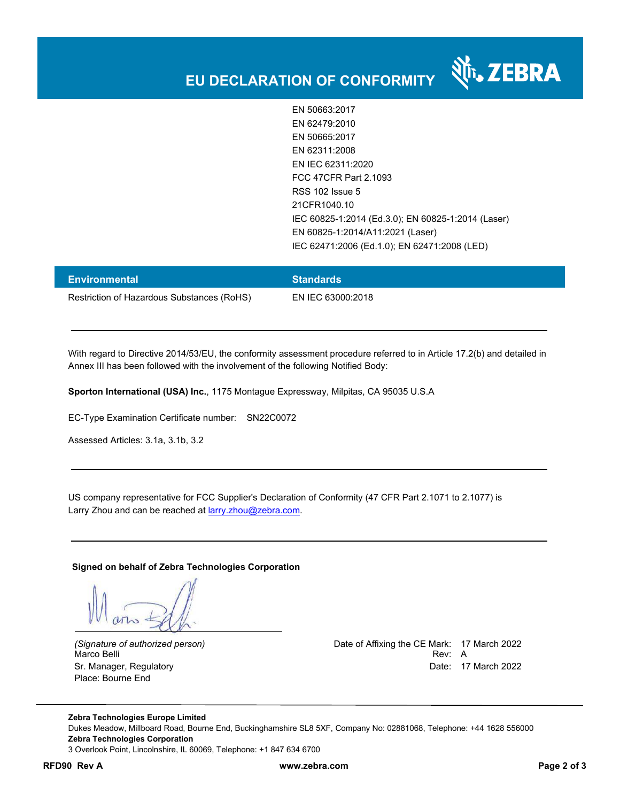

र्शे<sub>ं</sub> ZEBRA

| <b>Environmental</b>                       | <b>Standards</b>  |
|--------------------------------------------|-------------------|
| Restriction of Hazardous Substances (RoHS) | EN IEC 63000:2018 |

With regard to Directive 2014/53/EU, the conformity assessment procedure referred to in Article 17.2(b) and detailed in Annex III has been followed with the involvement of the following Notified Body:

**Sporton International (USA) Inc.**, 1175 Montague Expressway, Milpitas, CA 95035 U.S.A

EC-Type Examination Certificate number: SN22C0072

Assessed Articles: 3.1a, 3.1b, 3.2

US company representative for FCC Supplier's Declaration of Conformity (47 CFR Part 2.1071 to 2.1077) is Larry Zhou and can be reached at **larry.zhou@zebra.com.** 

**Signed on behalf of Zebra Technologies Corporation** 

Place: Bourne End

*(Signature of authorized person)* Date of Affixing the CE Mark: 17 March 2022 Marco Belli Rev: A Sr. Manager, Regulatory **Date: 17 March 2022** 

**Zebra Technologies Europe Limited**  Dukes Meadow, Millboard Road, Bourne End, Buckinghamshire SL8 5XF, Company No: 02881068, Telephone: +44 1628 556000 **Zebra Technologies Corporation**  3 Overlook Point, Lincolnshire, IL 60069, Telephone: +1 847 634 6700